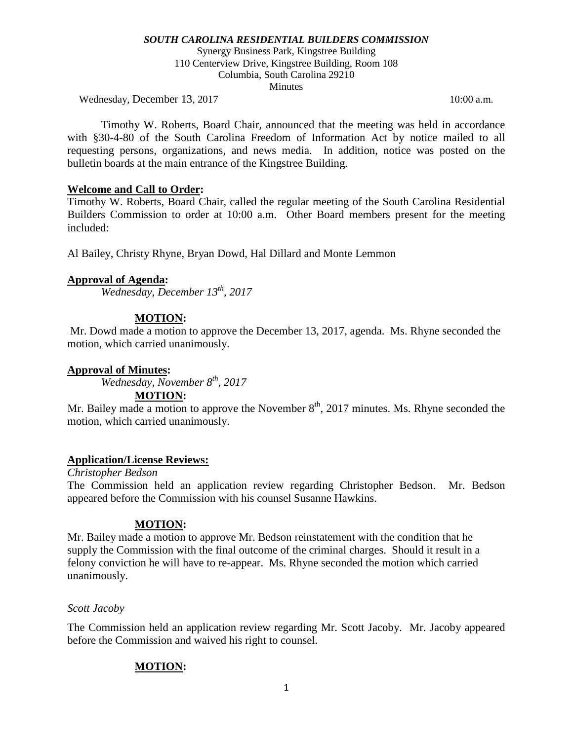Synergy Business Park, Kingstree Building 110 Centerview Drive, Kingstree Building, Room 108 Columbia, South Carolina 29210 **Minutes** 

Wednesday, December 13, 2017 10:00 a.m.

Timothy W. Roberts, Board Chair, announced that the meeting was held in accordance with §30-4-80 of the South Carolina Freedom of Information Act by notice mailed to all requesting persons, organizations, and news media. In addition, notice was posted on the bulletin boards at the main entrance of the Kingstree Building.

## **Welcome and Call to Order:**

Timothy W. Roberts, Board Chair, called the regular meeting of the South Carolina Residential Builders Commission to order at 10:00 a.m. Other Board members present for the meeting included:

Al Bailey, Christy Rhyne, Bryan Dowd, Hal Dillard and Monte Lemmon

## **Approval of Agenda:**

*Wednesday, December 13th, 2017*

## **MOTION:**

Mr. Dowd made a motion to approve the December 13, 2017, agenda. Ms. Rhyne seconded the motion, which carried unanimously.

## **Approval of Minutes:**

*Wednesday, November 8th, 2017*

## **MOTION:**

Mr. Bailey made a motion to approve the November  $8<sup>th</sup>$ , 2017 minutes. Ms. Rhyne seconded the motion, which carried unanimously.

## **Application/License Reviews:**

*Christopher Bedson* The Commission held an application review regarding Christopher Bedson. Mr. Bedson appeared before the Commission with his counsel Susanne Hawkins.

# **MOTION:**

Mr. Bailey made a motion to approve Mr. Bedson reinstatement with the condition that he supply the Commission with the final outcome of the criminal charges. Should it result in a felony conviction he will have to re-appear. Ms. Rhyne seconded the motion which carried unanimously.

## *Scott Jacoby*

The Commission held an application review regarding Mr. Scott Jacoby. Mr. Jacoby appeared before the Commission and waived his right to counsel.

# **MOTION:**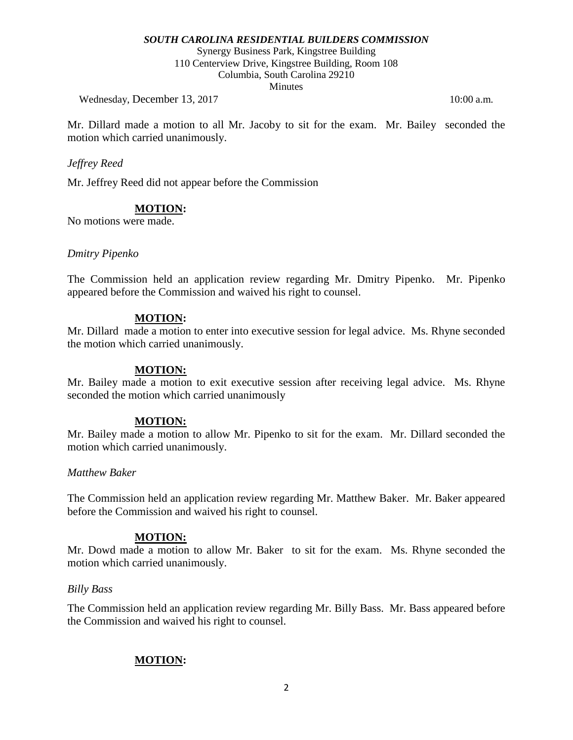Synergy Business Park, Kingstree Building 110 Centerview Drive, Kingstree Building, Room 108 Columbia, South Carolina 29210

**Minutes** 

Wednesday, December 13, 2017 10:00 a.m.

Mr. Dillard made a motion to all Mr. Jacoby to sit for the exam. Mr. Bailey seconded the motion which carried unanimously.

#### *Jeffrey Reed*

Mr. Jeffrey Reed did not appear before the Commission

## **MOTION:**

No motions were made.

#### *Dmitry Pipenko*

The Commission held an application review regarding Mr. Dmitry Pipenko. Mr. Pipenko appeared before the Commission and waived his right to counsel.

#### **MOTION:**

Mr. Dillard made a motion to enter into executive session for legal advice. Ms. Rhyne seconded the motion which carried unanimously.

#### **MOTION:**

Mr. Bailey made a motion to exit executive session after receiving legal advice. Ms. Rhyne seconded the motion which carried unanimously

#### **MOTION:**

Mr. Bailey made a motion to allow Mr. Pipenko to sit for the exam. Mr. Dillard seconded the motion which carried unanimously.

#### *Matthew Baker*

The Commission held an application review regarding Mr. Matthew Baker. Mr. Baker appeared before the Commission and waived his right to counsel.

#### **MOTION:**

Mr. Dowd made a motion to allow Mr. Baker to sit for the exam. Ms. Rhyne seconded the motion which carried unanimously.

#### *Billy Bass*

The Commission held an application review regarding Mr. Billy Bass. Mr. Bass appeared before the Commission and waived his right to counsel.

## **MOTION:**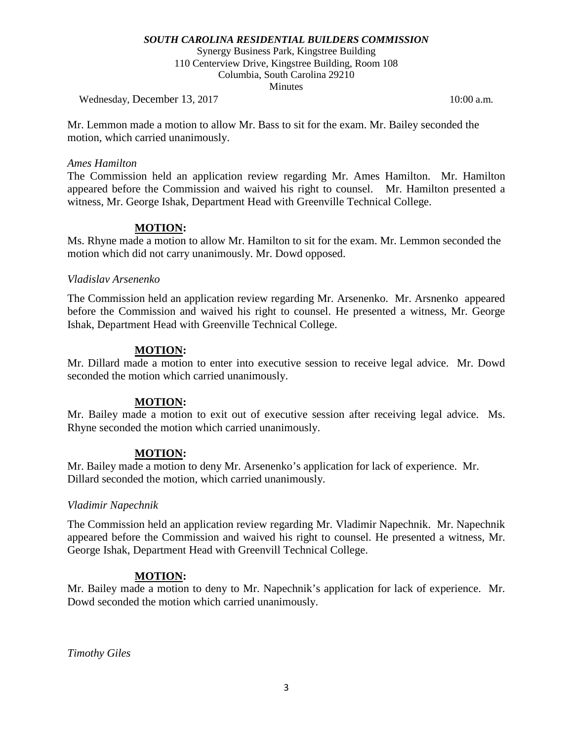Synergy Business Park, Kingstree Building 110 Centerview Drive, Kingstree Building, Room 108 Columbia, South Carolina 29210 **Minutes** 

Wednesday, December 13, 2017 10:00 a.m.

Mr. Lemmon made a motion to allow Mr. Bass to sit for the exam. Mr. Bailey seconded the motion, which carried unanimously.

#### *Ames Hamilton*

The Commission held an application review regarding Mr. Ames Hamilton. Mr. Hamilton appeared before the Commission and waived his right to counsel. Mr. Hamilton presented a witness, Mr. George Ishak, Department Head with Greenville Technical College.

## **MOTION:**

Ms. Rhyne made a motion to allow Mr. Hamilton to sit for the exam. Mr. Lemmon seconded the motion which did not carry unanimously. Mr. Dowd opposed.

#### *Vladislav Arsenenko*

The Commission held an application review regarding Mr. Arsenenko. Mr. Arsnenko appeared before the Commission and waived his right to counsel. He presented a witness, Mr. George Ishak, Department Head with Greenville Technical College.

## **MOTION:**

Mr. Dillard made a motion to enter into executive session to receive legal advice. Mr. Dowd seconded the motion which carried unanimously.

## **MOTION:**

Mr. Bailey made a motion to exit out of executive session after receiving legal advice. Ms. Rhyne seconded the motion which carried unanimously.

## **MOTION:**

Mr. Bailey made a motion to deny Mr. Arsenenko's application for lack of experience. Mr. Dillard seconded the motion, which carried unanimously.

#### *Vladimir Napechnik*

The Commission held an application review regarding Mr. Vladimir Napechnik. Mr. Napechnik appeared before the Commission and waived his right to counsel. He presented a witness, Mr. George Ishak, Department Head with Greenvill Technical College.

## **MOTION:**

Mr. Bailey made a motion to deny to Mr. Napechnik's application for lack of experience. Mr. Dowd seconded the motion which carried unanimously.

*Timothy Giles*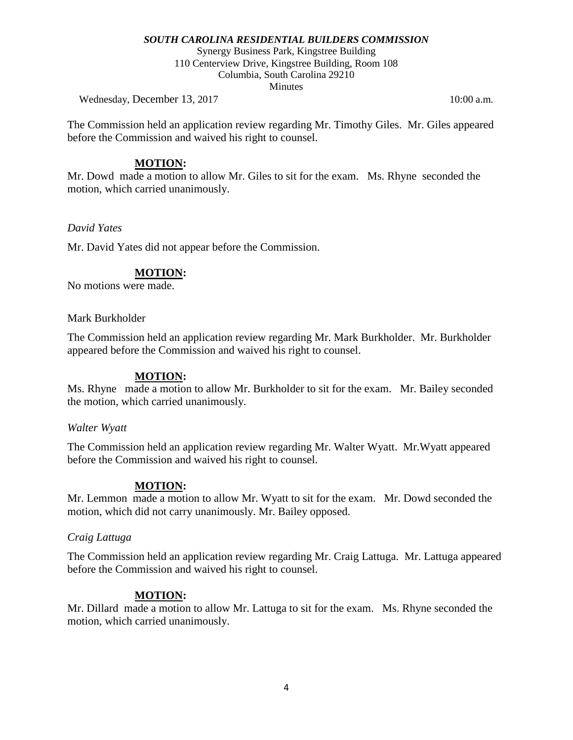Synergy Business Park, Kingstree Building 110 Centerview Drive, Kingstree Building, Room 108 Columbia, South Carolina 29210 **Minutes** 

Wednesday, December 13, 2017 10:00 a.m.

The Commission held an application review regarding Mr. Timothy Giles. Mr. Giles appeared before the Commission and waived his right to counsel.

#### **MOTION:**

Mr. Dowd made a motion to allow Mr. Giles to sit for the exam. Ms. Rhyne seconded the motion, which carried unanimously.

#### *David Yates*

Mr. David Yates did not appear before the Commission.

## **MOTION:**

No motions were made.

#### Mark Burkholder

The Commission held an application review regarding Mr. Mark Burkholder. Mr. Burkholder appeared before the Commission and waived his right to counsel.

#### **MOTION:**

Ms. Rhyne made a motion to allow Mr. Burkholder to sit for the exam. Mr. Bailey seconded the motion, which carried unanimously.

#### *Walter Wyatt*

The Commission held an application review regarding Mr. Walter Wyatt. Mr.Wyatt appeared before the Commission and waived his right to counsel.

## **MOTION:**

Mr. Lemmon made a motion to allow Mr. Wyatt to sit for the exam. Mr. Dowd seconded the motion, which did not carry unanimously. Mr. Bailey opposed.

## *Craig Lattuga*

The Commission held an application review regarding Mr. Craig Lattuga. Mr. Lattuga appeared before the Commission and waived his right to counsel.

## **MOTION:**

Mr. Dillard made a motion to allow Mr. Lattuga to sit for the exam. Ms. Rhyne seconded the motion, which carried unanimously.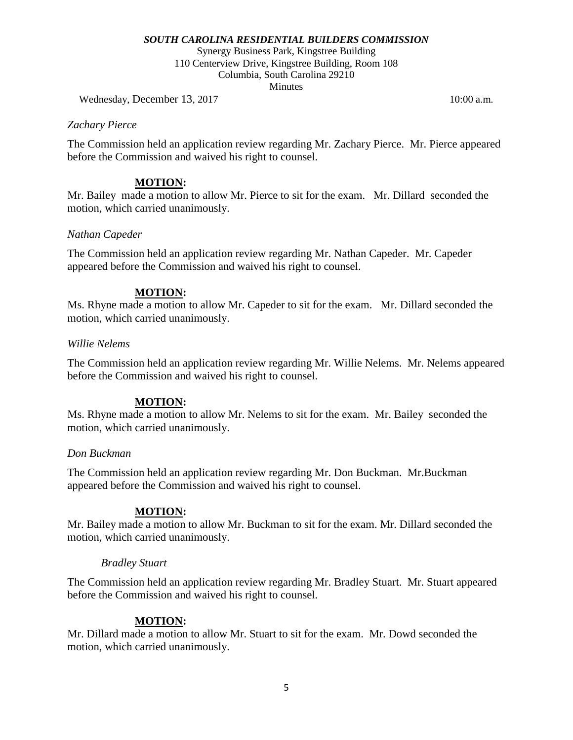Synergy Business Park, Kingstree Building 110 Centerview Drive, Kingstree Building, Room 108 Columbia, South Carolina 29210 **Minutes** 

Wednesday, December 13, 2017 10:00 a.m.

## *Zachary Pierce*

The Commission held an application review regarding Mr. Zachary Pierce. Mr. Pierce appeared before the Commission and waived his right to counsel.

## **MOTION:**

Mr. Bailey made a motion to allow Mr. Pierce to sit for the exam. Mr. Dillard seconded the motion, which carried unanimously.

## *Nathan Capeder*

The Commission held an application review regarding Mr. Nathan Capeder. Mr. Capeder appeared before the Commission and waived his right to counsel.

## **MOTION:**

Ms. Rhyne made a motion to allow Mr. Capeder to sit for the exam. Mr. Dillard seconded the motion, which carried unanimously.

## *Willie Nelems*

The Commission held an application review regarding Mr. Willie Nelems. Mr. Nelems appeared before the Commission and waived his right to counsel.

## **MOTION:**

Ms. Rhyne made a motion to allow Mr. Nelems to sit for the exam. Mr. Bailey seconded the motion, which carried unanimously.

## *Don Buckman*

The Commission held an application review regarding Mr. Don Buckman. Mr.Buckman appeared before the Commission and waived his right to counsel.

## **MOTION:**

Mr. Bailey made a motion to allow Mr. Buckman to sit for the exam. Mr. Dillard seconded the motion, which carried unanimously.

## *Bradley Stuart*

The Commission held an application review regarding Mr. Bradley Stuart. Mr. Stuart appeared before the Commission and waived his right to counsel.

# **MOTION:**

Mr. Dillard made a motion to allow Mr. Stuart to sit for the exam. Mr. Dowd seconded the motion, which carried unanimously.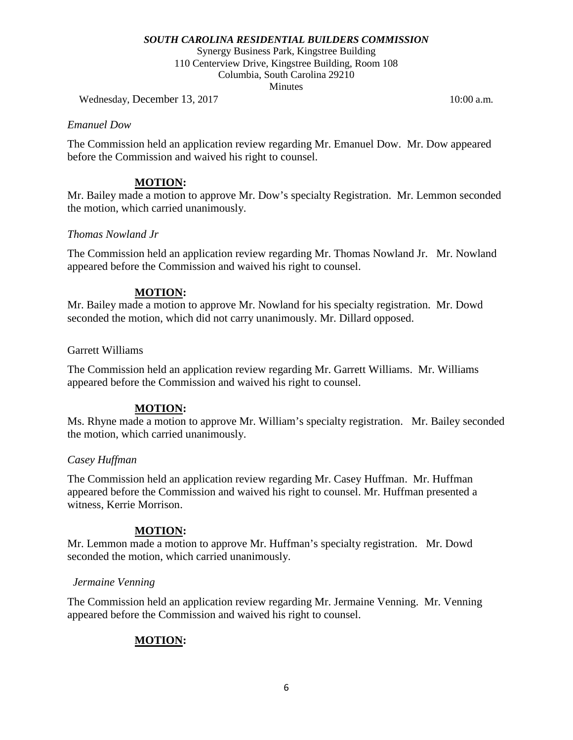Synergy Business Park, Kingstree Building 110 Centerview Drive, Kingstree Building, Room 108 Columbia, South Carolina 29210 **Minutes** 

Wednesday, December 13, 2017 10:00 a.m.

#### *Emanuel Dow*

The Commission held an application review regarding Mr. Emanuel Dow. Mr. Dow appeared before the Commission and waived his right to counsel.

## **MOTION:**

Mr. Bailey made a motion to approve Mr. Dow's specialty Registration. Mr. Lemmon seconded the motion, which carried unanimously.

## *Thomas Nowland Jr*

The Commission held an application review regarding Mr. Thomas Nowland Jr. Mr. Nowland appeared before the Commission and waived his right to counsel.

## **MOTION:**

Mr. Bailey made a motion to approve Mr. Nowland for his specialty registration. Mr. Dowd seconded the motion, which did not carry unanimously. Mr. Dillard opposed.

## Garrett Williams

The Commission held an application review regarding Mr. Garrett Williams. Mr. Williams appeared before the Commission and waived his right to counsel.

# **MOTION:**

Ms. Rhyne made a motion to approve Mr. William's specialty registration. Mr. Bailey seconded the motion, which carried unanimously.

## *Casey Huffman*

The Commission held an application review regarding Mr. Casey Huffman. Mr. Huffman appeared before the Commission and waived his right to counsel. Mr. Huffman presented a witness, Kerrie Morrison.

# **MOTION:**

Mr. Lemmon made a motion to approve Mr. Huffman's specialty registration. Mr. Dowd seconded the motion, which carried unanimously.

## *Jermaine Venning*

The Commission held an application review regarding Mr. Jermaine Venning. Mr. Venning appeared before the Commission and waived his right to counsel.

# **MOTION:**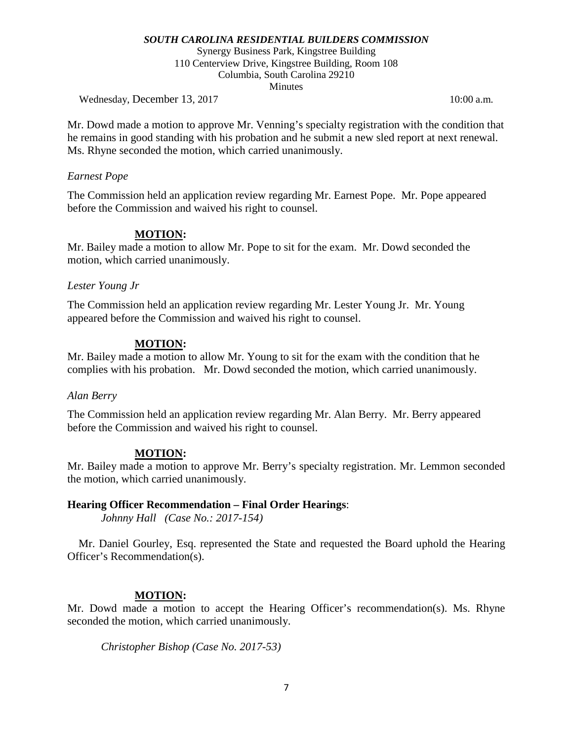Synergy Business Park, Kingstree Building 110 Centerview Drive, Kingstree Building, Room 108 Columbia, South Carolina 29210 **Minutes** 

Wednesday, December 13, 2017 10:00 a.m.

Mr. Dowd made a motion to approve Mr. Venning's specialty registration with the condition that he remains in good standing with his probation and he submit a new sled report at next renewal. Ms. Rhyne seconded the motion, which carried unanimously.

#### *Earnest Pope*

The Commission held an application review regarding Mr. Earnest Pope. Mr. Pope appeared before the Commission and waived his right to counsel.

## **MOTION:**

Mr. Bailey made a motion to allow Mr. Pope to sit for the exam. Mr. Dowd seconded the motion, which carried unanimously.

## *Lester Young Jr*

The Commission held an application review regarding Mr. Lester Young Jr. Mr. Young appeared before the Commission and waived his right to counsel.

## **MOTION:**

Mr. Bailey made a motion to allow Mr. Young to sit for the exam with the condition that he complies with his probation. Mr. Dowd seconded the motion, which carried unanimously.

#### *Alan Berry*

The Commission held an application review regarding Mr. Alan Berry. Mr. Berry appeared before the Commission and waived his right to counsel.

## **MOTION:**

Mr. Bailey made a motion to approve Mr. Berry's specialty registration. Mr. Lemmon seconded the motion, which carried unanimously.

## **Hearing Officer Recommendation – Final Order Hearings**:

*Johnny Hall (Case No.: 2017-154)*

 Mr. Daniel Gourley, Esq. represented the State and requested the Board uphold the Hearing Officer's Recommendation(s).

## **MOTION:**

Mr. Dowd made a motion to accept the Hearing Officer's recommendation(s). Ms. Rhyne seconded the motion, which carried unanimously.

*Christopher Bishop (Case No. 2017-53)*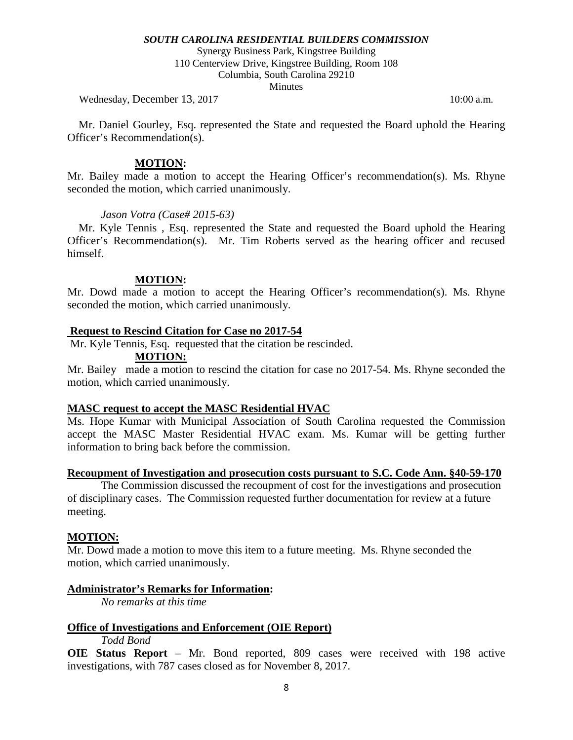Synergy Business Park, Kingstree Building 110 Centerview Drive, Kingstree Building, Room 108 Columbia, South Carolina 29210

**Minutes** 

Wednesday, December 13, 2017 10:00 a.m.

 Mr. Daniel Gourley, Esq. represented the State and requested the Board uphold the Hearing Officer's Recommendation(s).

#### **MOTION:**

Mr. Bailey made a motion to accept the Hearing Officer's recommendation(s). Ms. Rhyne seconded the motion, which carried unanimously.

#### *Jason Votra (Case# 2015-63)*

 Mr. Kyle Tennis , Esq. represented the State and requested the Board uphold the Hearing Officer's Recommendation(s). Mr. Tim Roberts served as the hearing officer and recused himself.

#### **MOTION:**

Mr. Dowd made a motion to accept the Hearing Officer's recommendation(s). Ms. Rhyne seconded the motion, which carried unanimously.

#### **Request to Rescind Citation for Case no 2017-54**

Mr. Kyle Tennis, Esq. requested that the citation be rescinded.

#### **MOTION:**

Mr. Bailey made a motion to rescind the citation for case no 2017-54. Ms. Rhyne seconded the motion, which carried unanimously.

## **MASC request to accept the MASC Residential HVAC**

Ms. Hope Kumar with Municipal Association of South Carolina requested the Commission accept the MASC Master Residential HVAC exam. Ms. Kumar will be getting further information to bring back before the commission.

#### **Recoupment of Investigation and prosecution costs pursuant to S.C. Code Ann. §40-59-170**

The Commission discussed the recoupment of cost for the investigations and prosecution of disciplinary cases. The Commission requested further documentation for review at a future meeting.

## **MOTION:**

Mr. Dowd made a motion to move this item to a future meeting. Ms. Rhyne seconded the motion, which carried unanimously.

## **Administrator's Remarks for Information:**

*No remarks at this time*

## **Office of Investigations and Enforcement (OIE Report)**

*Todd Bond*

**OIE Status Report** – Mr. Bond reported, 809 cases were received with 198 active investigations, with 787 cases closed as for November 8, 2017.